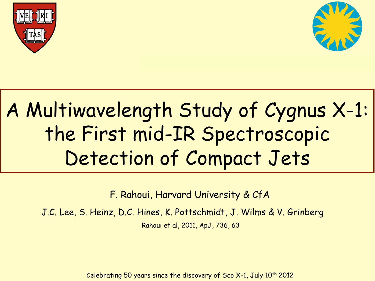



# A Multiwavelength Study of Cygnus X-1: the First mid-IR Spectroscopic Detection of Compact Jets

F. Rahoui, Harvard University & CfA

J.C. Lee, S. Heinz, D.C. Hines, K. Pottschmidt, J. Wilms & V. Grinberg Rahoui et al, 2011, ApJ, 736, 63

Celebrating 50 years since the discovery of Sco  $X-1$ , July 10<sup>th</sup> 2012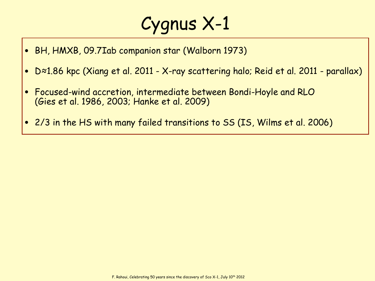## Cygnus X-1

- BH, HMXB, 09.7Iab companion star (Walborn 1973)
- <sup>D</sup>≈1.86 kpc (Xiang et al. 2011 X-ray scattering halo; Reid et al. 2011 parallax)
- Focused-wind accretion, intermediate between Bondi-Hoyle and RLO (Gies et al. 1986, 2003; Hanke et al. 2009)
- 2/3 in the HS with many failed transitions to SS (IS, Wilms et al. 2006)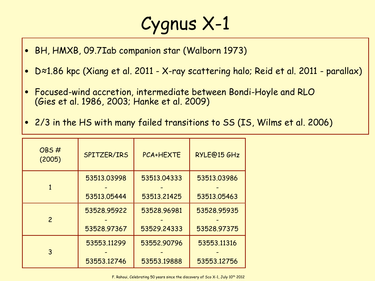## Cygnus X-1

- BH, HMXB, 09.7Iab companion star (Walborn 1973)
- <sup>D</sup>≈1.86 kpc (Xiang et al. 2011 X-ray scattering halo; Reid et al. 2011 parallax)
- Focused-wind accretion, intermediate between Bondi-Hoyle and RLO (Gies et al. 1986, 2003; Hanke et al. 2009)
- 2/3 in the HS with many failed transitions to SS (IS, Wilms et al. 2006)

| OBS#<br>(2005) | SPITZER/IRS | <b>PCA+HEXTE</b> | RYLE@15 GHz |
|----------------|-------------|------------------|-------------|
|                | 53513.03998 | 53513.04333      | 53513.03986 |
|                | 53513.05444 | 53513.21425      | 53513.05463 |
| $\overline{2}$ | 53528.95922 | 53528.96981      | 53528.95935 |
|                | 53528.97367 | 53529.24333      | 53528.97375 |
| 3              | 53553.11299 | 53552.90796      | 53553.11316 |
|                | 53553.12746 | 53553.19888      | 53553.12756 |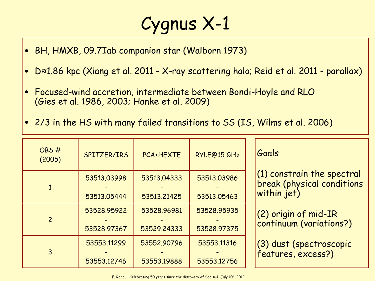## Cygnus X-1

- BH, HMXB, 09.7Iab companion star (Walborn 1973)
- <sup>D</sup>≈1.86 kpc (Xiang et al. 2011 X-ray scattering halo; Reid et al. 2011 parallax)
- Focused-wind accretion, intermediate between Bondi-Hoyle and RLO (Gies et al. 1986, 2003; Hanke et al. 2009)
- 2/3 in the HS with many failed transitions to SS (IS, Wilms et al. 2006)

| OBS#<br>(2005) | SPITZER/IRS                | <b>PCA+HEXTE</b>           | RYLE@15 GHz                | Goals                                                                            |
|----------------|----------------------------|----------------------------|----------------------------|----------------------------------------------------------------------------------|
|                | 53513.03998<br>53513.05444 | 53513.04333<br>53513.21425 | 53513.03986<br>53513.05463 | $(1)$ constrain the spectral<br><b>break (physical conditions</b><br>within jet) |
| $\overline{2}$ | 53528.95922                | 53528.96981                | 53528.95935                | (2) origin of mid-IR                                                             |
|                | 53528.97367                | 53529.24333                | 53528.97375                | continuum (variations?)                                                          |
| $\overline{3}$ | 53553.11299                | 53552.90796                | 53553.11316                | (3) dust (spectroscopic                                                          |
|                | 53553.12746                | 53553.19888                | 53553.12756                | features, excess?)                                                               |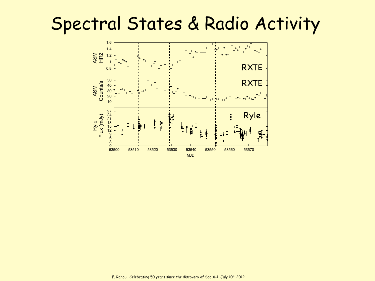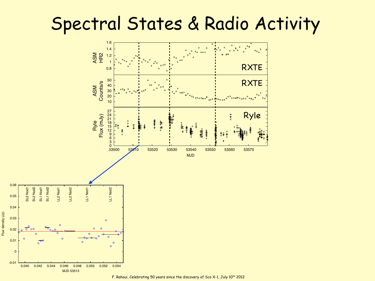

Flux density (Jy)

Flux density (Jy)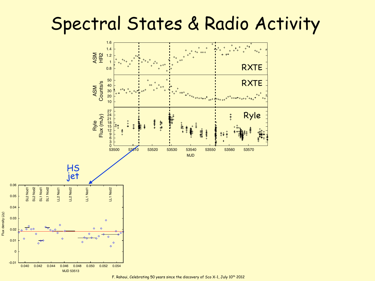

Flux density (Jy)

Flux density (Jy)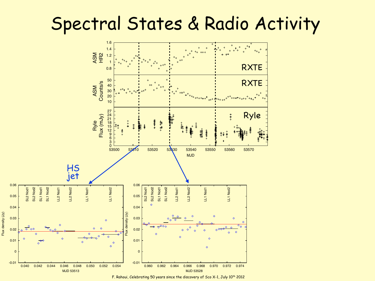

Flux density (Jy)

Flux density (Jy)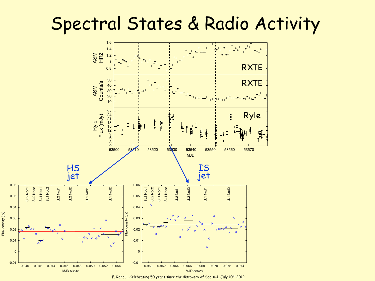

Flux density (Jy)

Flux density (Jy)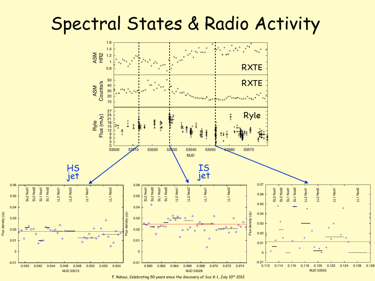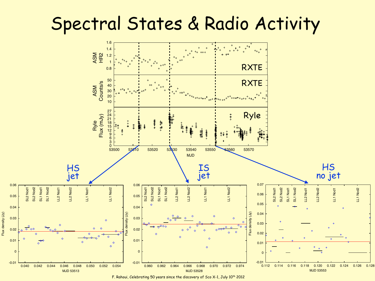

F. Rahoui, Celebrating 50 years since the discovery of Sco X-1, July 10th 2012

Flux density (Jy)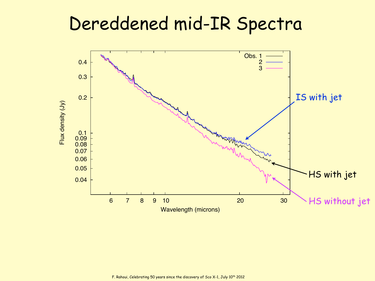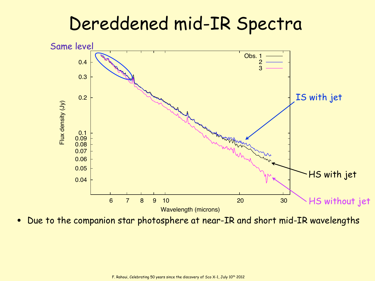

• Due to the companion star photosphere at near-IR and short mid-IR wavelengths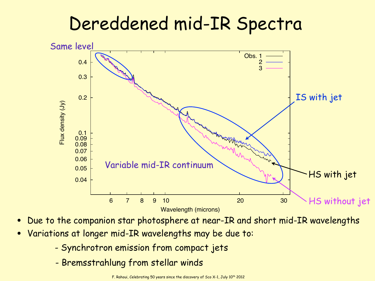

- Due to the companion star photosphere at near-IR and short mid-IR wavelengths
- Variations at longer mid-IR wavelengths may be due to:
	- Synchrotron emission from compact jets
	- Bremsstrahlung from stellar winds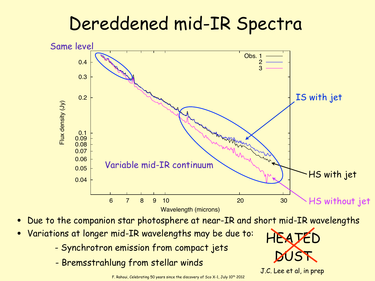

- Due to the companion star photosphere at near-IR and short mid-IR wavelengths
- Variations at longer mid-IR wavelengths may be due to:
	- Synchrotron emission from compact jets
	- Bremsstrahlung from stellar winds

DUST J.C. Lee et al, in prep

HEATED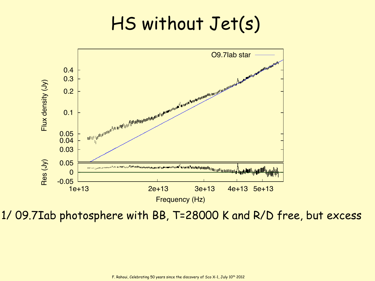

1/ 09.7Iab photosphere with BB, T=28000 K and R/D free, but excess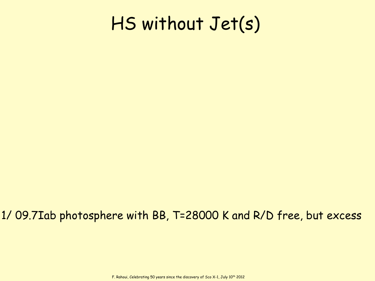#### 1/ 09.7Iab photosphere with BB, T=28000 K and R/D free, but excess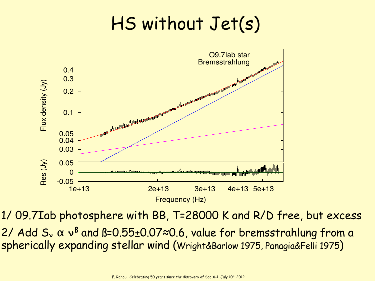

1/ 09.7Iab photosphere with BB, T=28000 K and R/D free, but excess 2/ Add S<sub>ν</sub> α ν<sup>β</sup> and ß=0.55±0.07≈0.6, value for bremsstrahlung from a spherically expanding stellar wind (Wright&Barlow 1975, Panagia&Felli 1975)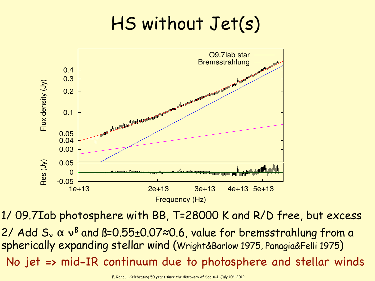

1/ 09.7Iab photosphere with BB, T=28000 K and R/D free, but excess No jet => mid-IR continuum due to photosphere and stellar winds 2/ Add S<sub>ν</sub> α ν<sup>β</sup> and ß=0.55±0.07≈0.6, value for bremsstrahlung from a spherically expanding stellar wind (Wright&Barlow 1975, Panagia&Felli 1975)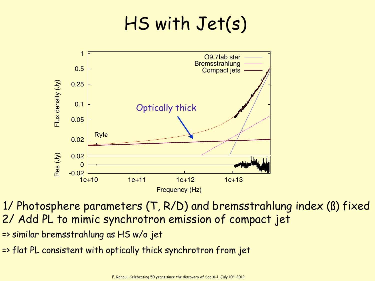

1/ Photosphere parameters (T, R/D) and bremsstrahlung index (ß) fixed 2/ Add PL to mimic synchrotron emission of compact jet

- => similar bremsstrahlung as HS w/o jet
- => flat PL consistent with optically thick synchrotron from jet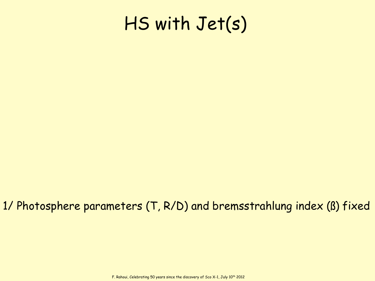#### 1/ Photosphere parameters (T, R/D) and bremsstrahlung index (ß) fixed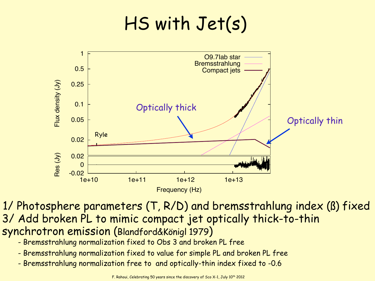

1/ Photosphere parameters (T, R/D) and bremsstrahlung index (ß) fixed 3/ Add broken PL to mimic compact jet optically thick-to-thin synchrotron emission (Blandford&Königl 1979)

- Bremsstrahlung normalization fixed to Obs 3 and broken PL free
- Bremsstrahlung normalization fixed to value for simple PL and broken PL free
- Bremsstrahlung normalization free to and optically-thin index fixed to -0.6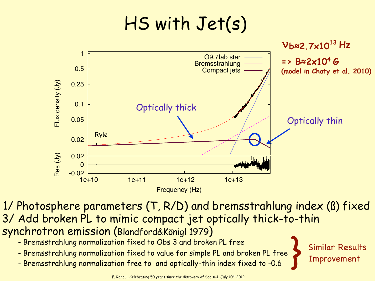

1/ Photosphere parameters (T, R/D) and bremsstrahlung index (ß) fixed 3/ Add broken PL to mimic compact jet optically thick-to-thin synchrotron emission (Blandford&Königl 1979)

- Bremsstrahlung normalization fixed to Obs 3 and broken PL free
- Bremsstrahlung normalization fixed to value for simple PL and broken PL free
- Bremsstrahlung normalization free to and optically-thin index fixed to -0.6

} Similar Results Improvement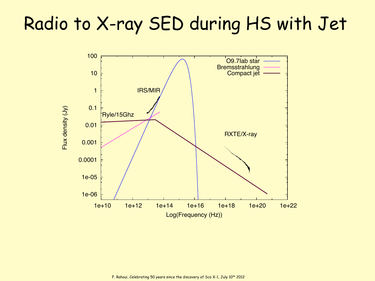## Radio to X-ray SED during HS with Jet

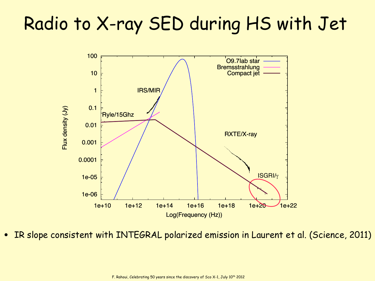## Radio to X-ray SED during HS with Jet



IR slope consistent with INTEGRAL polarized emission in Laurent et al. (Science, 2011)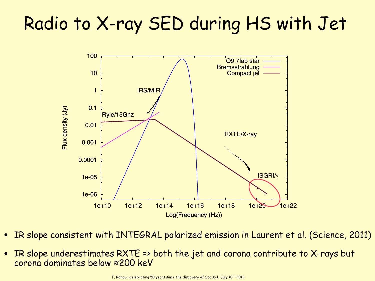## Radio to X-ray SED during HS with Jet



- IR slope consistent with INTEGRAL polarized emission in Laurent et al. (Science, 2011)
- IR slope underestimates RXTE => both the jet and corona contribute to X-rays but corona dominates below ≈200 keV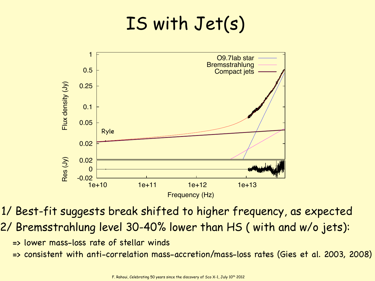

1/ Best-fit suggests break shifted to higher frequency, as expected 2/ Bremsstrahlung level 30-40% lower than HS ( with and w/o jets):

- => lower mass-loss rate of stellar winds
- => consistent with anti-correlation mass-accretion/mass-loss rates (Gies et al. 2003, 2008)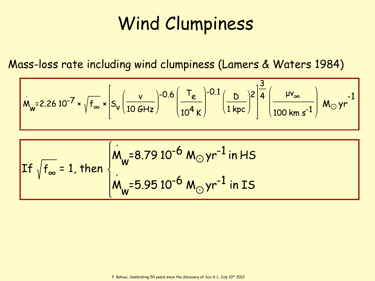## Wind Clumpiness

Mass-loss rate including wind clumpiness (Lamers & Waters 1984)

$$
\dot{M}_{w} = 2.26 \, 10^{-7} \times \sqrt{f_{\infty}} \times \left[ S_{v} \left( \frac{v}{10 \, GHz} \right) - 0.6 \left( \frac{T_{e}}{10^{4} \, K} \right) - 0.1 \left( \frac{D}{1 \, kpc} \right)^{2} \right]^{\frac{3}{4}} \left( \frac{\mu v_{\infty}}{100 \, km \, s^{-1}} \right) M_{\odot} \, yr^{-1}
$$

If 
$$
\sqrt{f_{\infty}} = 1
$$
, then  $\begin{cases} \dot{M}_{w} = 8.79 10^{-6} M_{\odot} yr^{-1} \text{ in HS} \\ \dot{M}_{w} = 5.95 10^{-6} M_{\odot} yr^{-1} \text{ in IS} \end{cases}$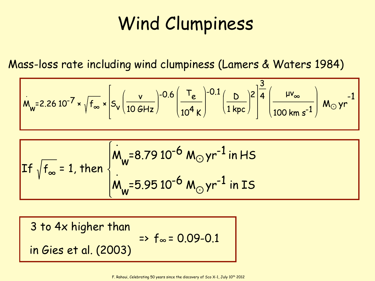## Wind Clumpiness

Mass-loss rate including wind clumpiness (Lamers & Waters 1984)

$$
M_{w} = 2.26 \, 10^{-7} \times \sqrt{f_{\infty}} \times \left[ S_{v} \left( \frac{v}{10 \, GHz} \right) - 0.6 \left( \frac{T_{e}}{10^{4} \, K} \right) - 0.1 \left( \frac{D}{1 \, kpc} \right)^{2} \right]^{\frac{3}{4}} \left( \frac{\mu v_{\infty}}{100 \, km \, s^{-1}} \right) M_{\odot} \, yr^{-1}
$$

If 
$$
\sqrt{f_{\infty}} = 1
$$
, then  $\begin{cases} \nM_w = 8.7910^{-6} M_{\odot} yr^{-1} \text{ in HS} \\
M_w = 5.9510^{-6} M_{\odot} yr^{-1} \text{ in IS} \n\end{cases}$ 

3 to 4x higher than in Gies et al. (2003)  $\Rightarrow$  f<sub>∞</sub> = 0.09-0.1